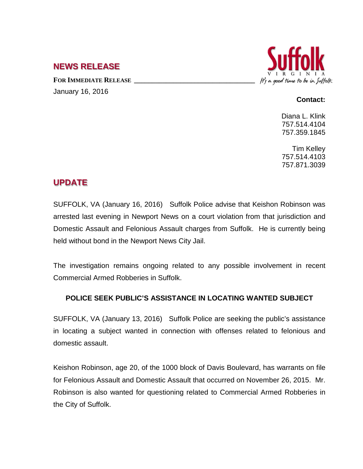## **NEWS RELEASE**

FOR **IMMEDIATE RELEASE** January 16, 2016



## **Contact:**

Diana L. Klink 757.514.4104 757.359.1845

Tim Kelley 757.514.4103 757.871.3039

## **UPDATE**

SUFFOLK, VA (January 16, 2016) Suffolk Police advise that Keishon Robinson was arrested last evening in Newport News on a court violation from that jurisdiction and Domestic Assault and Felonious Assault charges from Suffolk. He is currently being held without bond in the Newport News City Jail.

The investigation remains ongoing related to any possible involvement in recent Commercial Armed Robberies in Suffolk.

## **POLICE SEEK PUBLIC'S ASSISTANCE IN LOCATING WANTED SUBJECT**

SUFFOLK, VA (January 13, 2016) Suffolk Police are seeking the public's assistance in locating a subject wanted in connection with offenses related to felonious and domestic assault.

Keishon Robinson, age 20, of the 1000 block of Davis Boulevard, has warrants on file for Felonious Assault and Domestic Assault that occurred on November 26, 2015. Mr. Robinson is also wanted for questioning related to Commercial Armed Robberies in the City of Suffolk.